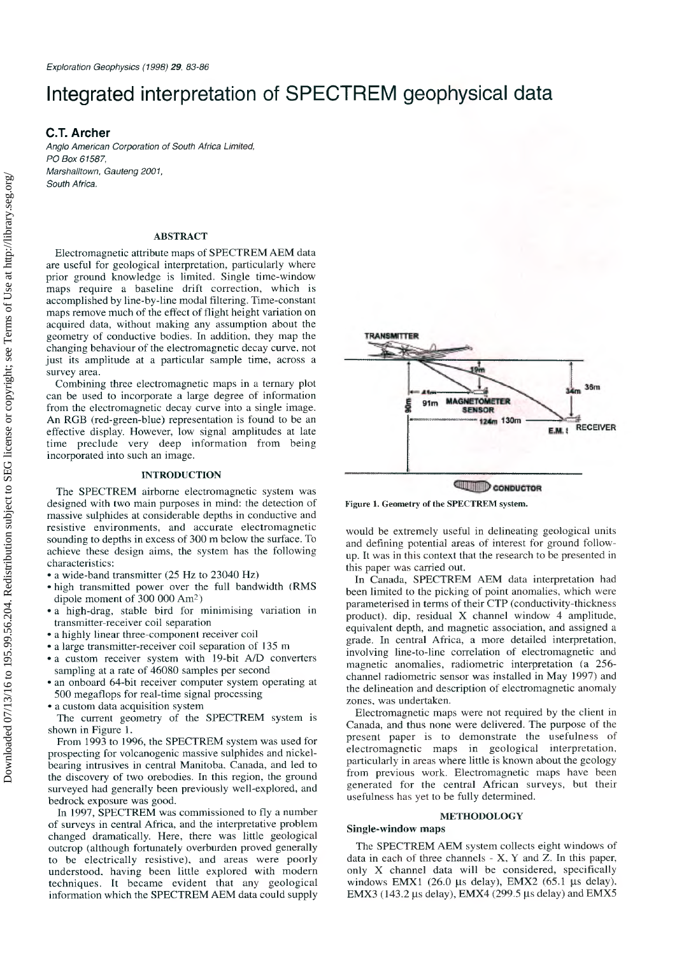# Integrated interpretation of SPECTREM geophysical data

## C.T. Archer

*Anglo American Corporation of South Africa Limited, PO Box 61587, Marshalltown, Gauteng 2001, South Africa.*

### **ABSTRACT**

Electromagnetic attribute maps of SPECTREM AEM data are useful for geological interpretation, particularly where prior ground knowledge is limited. Single time-window maps require a baseline drift correction, which is accomplished by line-by-line modal filtering. Time-constant maps remove much of the effect of flight height variation on acquired data, without making any assumption about the geometry of conductive bodies. In addition, they map the changing behaviour of the electromagnetic decay curve, not just its amplitude at a particular sample time, across a survey area.

Combining three electromagnetic maps in a ternary plot can be used to incorporate a large degree of information from the electromagnetic decay curve into a single image. An RGB (red-green-blue) representation is found to be an effective display. However, low signal amplitudes at late time preclude very deep information from being incorporated into such an image.

#### **INTRODUCTION**

The SPECTREM airborne electromagnetic system was designed with two main purposes in mind: the detection of massive sulphides at considerable depths in conductive and resistive environments, and accurate electromagnetic sounding to depths in excess of 300 m below the surface. To achieve these design aims, the system has the following characteristics:

- a wide-band transmitter (25 Hz to 23040 Hz)
- high transmitted power over the full bandwidth (RMS dipole moment of  $300\,000\,\mathrm{Am^2}$ )
- a high-drag, stable bird for minimising variation in transmitter-receiver coil separation
- a highly linear three-component receiver coil
- a large transmitter-receiver coil separation of 135 m
- a custom receiver system with 19-bit A/D converters sampling at a rate of 46080 samples per second
- an onboard 64-bit receiver computer system operating at 500 megaflops for real-time signal processing
- a custom data acquisition system

The current geometry of the SPECTREM system is shown in Figure 1.

From 1993 to 1996, the SPECTREM system was used for prospecting for volcanogenic massive sulphides and nickelbearing intrusives in central Manitoba. Canada, and led to the discovery of two orebodies. In this region, the ground surveyed had generally been previously well-explored, and bedrock exposure was good.

In 1997, SPECTREM was commissioned to fly a number of surveys in central Africa, and the interpretative problem changed dramatically. Here, there was little geological outcrop (although fortunately overburden proved generally to be electrically resistive), and areas were poorly understood, having been little explored with modern techniques. It became evident that any geological information which the SPECTREM AEM data could supply



**Figure 1. Geometry of the SPECTREM system.**

would be extremely useful in delineating geological units and defining potential areas of interest for ground followup. It was in this context that the research to be presented in this paper was carried out.

In Canada, SPECTREM AEM data interpretation had been limited to the picking of point anomalies, which were parameterised in terms of their CTP (conductivity-thickness product), dip, residual X channel window 4 amplitude, equivalent depth, and magnetic association, and assigned a grade. In central Africa, a more detailed interpretation, involving line-to-line correlation of electromagnetic and magnetic anomalies, radiometric interpretation (a 256channel radiometric sensor was installed in May 1997) and the delineation and description of electromagnetic anomaly zones, was undertaken.

Electrom agnetic maps were not required by the client in Canada, and thus none were delivered. The purpose of the present paper is to demonstrate the usefulness of electromagnetic maps in geological interpretation, particularly in areas where little is known about the geology from previous work. Electromagnetic maps have been generated for the central African surveys, but their usefulness has yet to be fully determined.

### **METHODOLOGY**

#### **Single-window maps**

The SPECTREM AEM system collects eight windows of data in each of three channels - X, Y and Z. In this paper, only X channel data will be considered, specifically windows EMX1 (26.0 µs delay), EMX2 (65.1 µs delay), EMX3 (143.2  $\mu$ s delay), EMX4 (299.5  $\mu$ s delay) and EMX5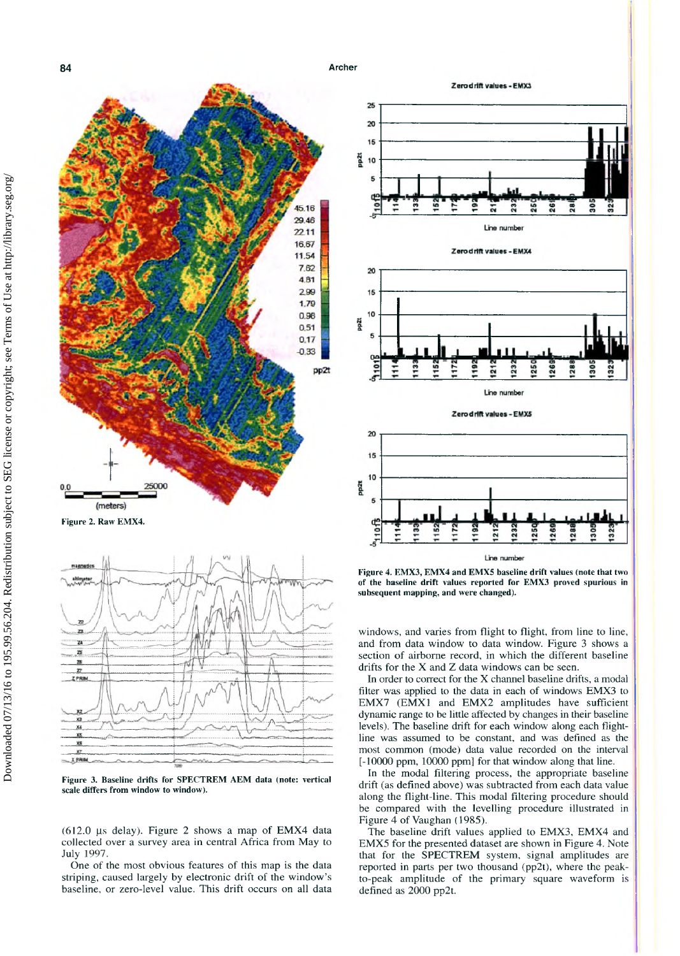

**Figure 3. Baseline drifts for SPECTREM AEM data (note: vertical scale differs from window to window).**

X PRIM

(612.0  $\mu$ s delay). Figure 2 shows a map of EMX4 data collected over a survey area in central Africa from May to July 1997.

One of the most obvious features of this map is the data striping, caused largely by electronic drift of the window's baseline, or zero-level value. This drift occurs on all data



Zero drift values - EMX3

**of the baseline drift values reported for EMX3 proved spurious in subsequent mapping, and were changed).**

windows, and varies from flight to flight, from line to line, and from data window to data window. Figure 3 shows a section of airborne record, in which the different baseline drifts for the X and Z data windows can be seen.

In order to correct for the X channel baseline drifts, a modal filter was applied to the data in each of windows EMX3 to EMX7 (EMX1 and EMX2 amplitudes have sufficient dynamic range to be little affected by changes in their baseline levels). The baseline drift for each window along each flightline was assumed to be constant, and was defined as the most common (mode) data value recorded on the interval [-10000 ppm, 10000 ppm] for that window along that line.

In the modal filtering process, the appropriate baseline drift (as defined above) was subtracted from each data value along the flight-line. This modal filtering procedure should be compared with the levelling procedure illustrated in Figure 4 of Vaughan (1985).

The baseline drift values applied to EMX3, EMX4 and EMX5 for the presented dataset are shown in Figure 4. Note that for the SPECTREM system, signal amplitudes are reported in parts per two thousand (pp2t), where the peakto-peak amplitude of the primary square waveform is defined as 2000 pp2t.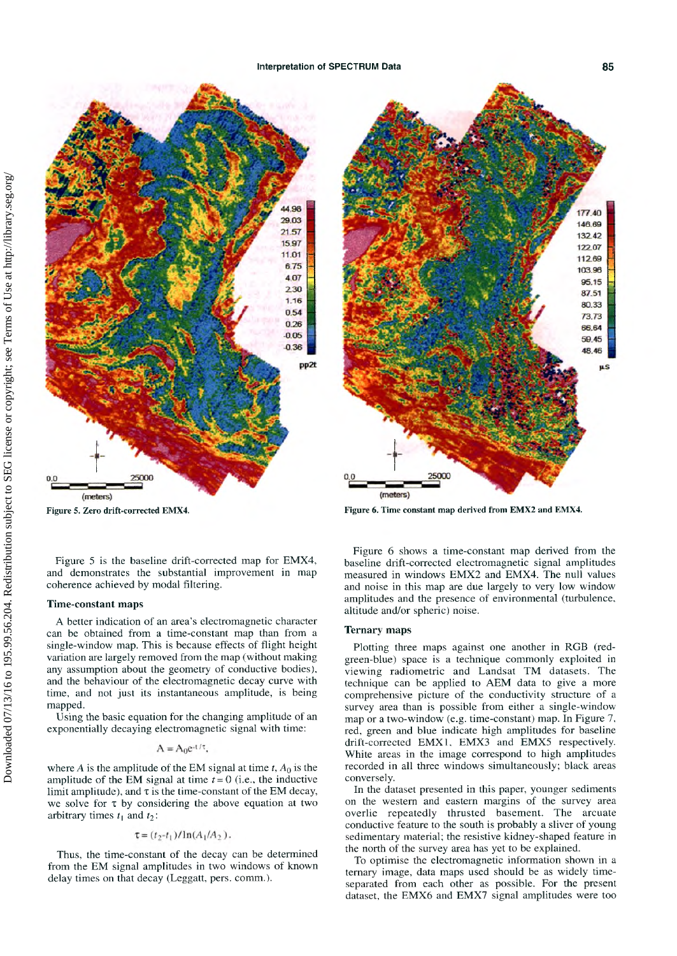

Figure 5 is the baseline drift-corrected map for EMX4, and dem onstrates the substantial improvement in map coherence achieved by modal filtering.

## **Time-constant maps**

A better indication of an area's electromagnetic character can be obtained from a time-constant map than from a single-window map. This is because effects of flight height variation are largely removed from the map (without making any assumption about the geometry of conductive bodies), and the behaviour of the electromagnetic decay curve with time, and not just its instantaneous amplitude, is being mapped.

Using the basic equation for the changing amplitude of an exponentially decaying electromagnetic signal with time:

$$
A = A_0 e^{-t/\tau},
$$

where *A* is the amplitude of the EM signal at time  $t$ ,  $A_0$  is the amplitude of the EM signal at time  $t=0$  (i.e., the inductive limit amplitude), and  $\tau$  is the time-constant of the EM decay, we solve for  $\tau$  by considering the above equation at two arbitrary times  $t_1$  and  $t_2$ :

$$
\tau = (t_2 - t_1) / \ln(A_1/A_2).
$$

Thus, the time-constant of the decay can be determined from the EM signal amplitudes in two windows of known delay times on that decay (Leggatt, pers. comm.).



**Figure 5. Zero drift-corrected EMX4. Figure 6. Time constant map derived from EMX2 and EMX4.**

Figure 6 shows a time-constant map derived from the baseline drift-corrected electromagnetic signal amplitudes measured in windows EMX2 and EMX4. The null values and noise in this map are due largely to very low window amplitudes and the presence of environmental (turbulence, altitude and/or spheric) noise.

## **Ternary maps**

Plotting three maps against one another in RGB (redgreen-blue) space is a technique commonly exploited in viewing radiometric and Landsat TM datasets. The technique can be applied to AEM data to give a more comprehensive picture of the conductivity structure of a survey area than is possible from either a single-window map or a two-window (e.g. time-constant) map. In Figure  $7$ , red, green and blue indicate high amplitudes for baseline drift-corrected EMX1. EMX3 and EMX5 respectively. White areas in the image correspond to high amplitudes recorded in all three windows simultaneously; black areas conversely.

In the dataset presented in this paper, younger sediments on the western and eastern margins of the survey area overlie repeatedly thrusted basement. The arcuate conductive feature to the south is probably a sliver of young sedimentary material; the resistive kidney-shaped feature in the north of the survey area has yet to be explained.

To optimise the electromagnetic information shown in a ternary image, data maps used should be as widely timeseparated from each other as possible. For the present dataset, the EMX6 and EMX7 signal amplitudes were too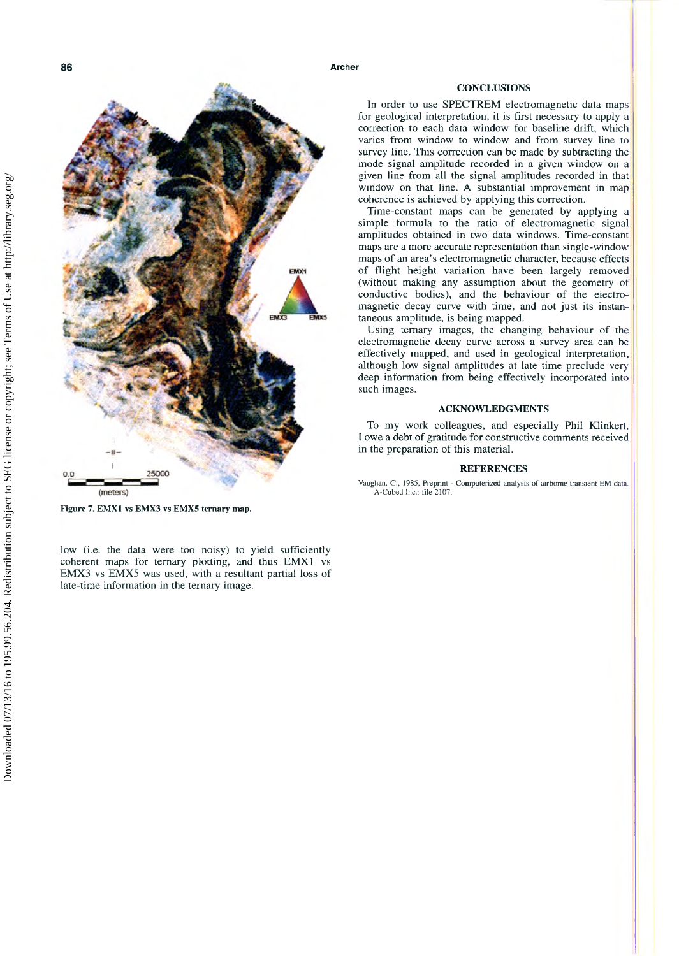**CONCLUSIONS** 

In order to use SPECTREM electromagnetic data maps for geological interpretation, it is first necessary to apply a correction to each data window for baseline drift, which varies from window to window and from survey line to survey line. This correction can be made by subtracting the mode signal amplitude recorded in a given window on a given line from all the signal amplitudes recorded in that window on that line. A substantial improvement in map coherence is achieved by applying this correction.

Time-constant maps can be generated by applying a simple formula to the ratio of electromagnetic signal amplitudes obtained in two data windows. Time-constant maps are a more accurate representation than single-window maps of an area's electromagnetic character, because effects of flight height variation have been largely removed (without making any assumption about the geometry of conductive bodies), and the behaviour of the electromagnetic decay curve with time, and not just its instantaneous amplitude, is being mapped.

Using ternary images, the changing behaviour of the electrom agnetic decay curve across a survey area can be effectively mapped, and used in geological interpretation, although low signal amplitudes at late time preclude very deep information from being effectively incorporated into such images.

#### **ACKNOWLEDGMENTS**

To my work colleagues, and especially Phil Klinkert, I owe a debt of gratitude for constructive com ments received in the preparation of this material.

## **REFERENCES**

Vaughan, C., 1985, Preprint - Computerized analysis of airborne transient EM data. A-Cubed Inc.: file 2107.

**Figure 7. EMX1 vs EMX3 vs EMX5 ternary map.**

low (i.e. the data were too noisy) to yield sufficiently coherent maps for ternary plotting, and thus EMX1 vs EMX3 vs EMX5 was used, with a resultant partial loss of late-time information in the ternary image.